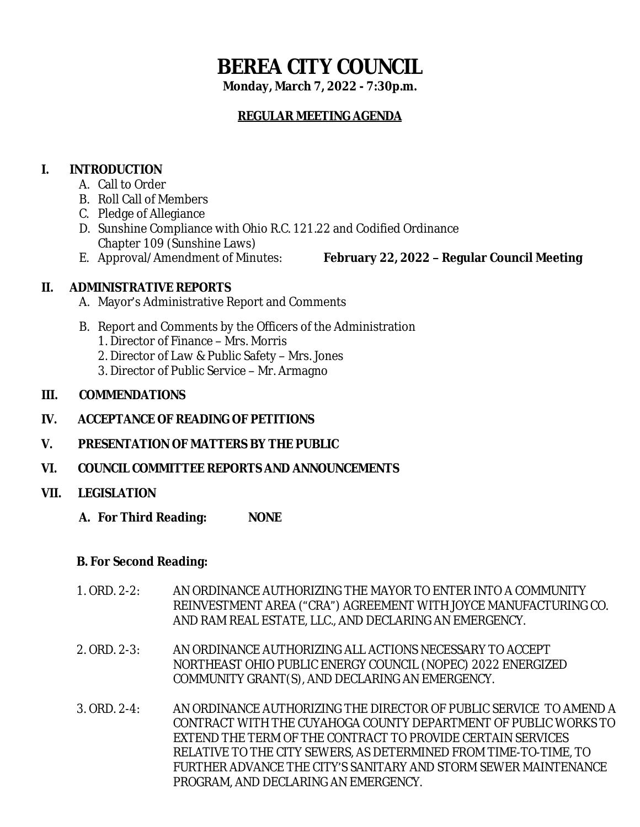# **BEREA CITY COUNCIL**

**Monday, March 7, 2022 - 7:30p.m.**

# **REGULAR MEETING AGENDA**

# **I. INTRODUCTION**

- A. Call to Order
- B. Roll Call of Members
- C. Pledge of Allegiance
- D. Sunshine Compliance with Ohio R.C. 121.22 and Codified Ordinance Chapter 109 (Sunshine Laws)
- 

E. Approval/Amendment of Minutes: **February 22, 2022 – Regular Council Meeting**

# **II. ADMINISTRATIVE REPORTS**

- A. Mayor's Administrative Report and Comments
- B. Report and Comments by the Officers of the Administration
	- 1. Director of Finance Mrs. Morris
	- 2. Director of Law & Public Safety Mrs. Jones
	- 3. Director of Public Service Mr. Armagno

## **III. COMMENDATIONS**

- **IV. ACCEPTANCE OF READING OF PETITIONS**
- **V. PRESENTATION OF MATTERS BY THE PUBLIC**
- **VI. COUNCIL COMMITTEE REPORTS AND ANNOUNCEMENTS**

## **VII. LEGISLATION**

**A. For Third Reading: NONE**

## **B. For Second Reading:**

- 1. ORD. 2-2: AN ORDINANCE AUTHORIZING THE MAYOR TO ENTER INTO A COMMUNITY REINVESTMENT AREA ("CRA") AGREEMENT WITH JOYCE MANUFACTURING CO. AND RAM REAL ESTATE, LLC., AND DECLARING AN EMERGENCY.
- 2. ORD. 2-3: AN ORDINANCE AUTHORIZING ALL ACTIONS NECESSARY TO ACCEPT NORTHEAST OHIO PUBLIC ENERGY COUNCIL (NOPEC) 2022 ENERGIZED COMMUNITY GRANT(S), AND DECLARING AN EMERGENCY.
- 3. ORD. 2-4: AN ORDINANCE AUTHORIZING THE DIRECTOR OF PUBLIC SERVICE TO AMEND A CONTRACT WITH THE CUYAHOGA COUNTY DEPARTMENT OF PUBLIC WORKS TO EXTEND THE TERM OF THE CONTRACT TO PROVIDE CERTAIN SERVICES RELATIVE TO THE CITY SEWERS, AS DETERMINED FROM TIME-TO-TIME, TO FURTHER ADVANCE THE CITY'S SANITARY AND STORM SEWER MAINTENANCE PROGRAM, AND DECLARING AN EMERGENCY.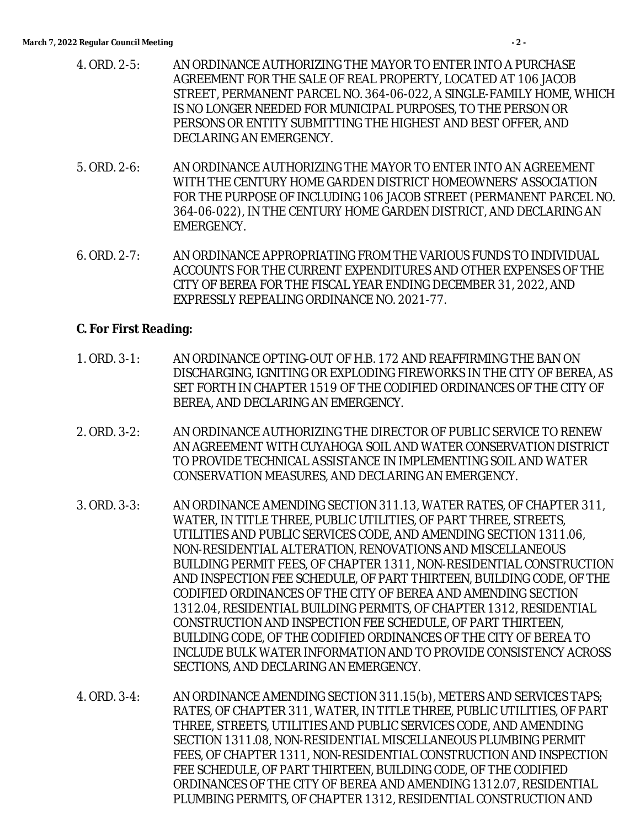- 4. ORD. 2-5: AN ORDINANCE AUTHORIZING THE MAYOR TO ENTER INTO A PURCHASE AGREEMENT FOR THE SALE OF REAL PROPERTY, LOCATED AT 106 JACOB STREET, PERMANENT PARCEL NO. 364-06-022, A SINGLE-FAMILY HOME, WHICH IS NO LONGER NEEDED FOR MUNICIPAL PURPOSES, TO THE PERSON OR PERSONS OR ENTITY SUBMITTING THE HIGHEST AND BEST OFFER, AND DECLARING AN EMERGENCY.
- 5. ORD. 2-6: AN ORDINANCE AUTHORIZING THE MAYOR TO ENTER INTO AN AGREEMENT WITH THE CENTURY HOME GARDEN DISTRICT HOMEOWNERS' ASSOCIATION FOR THE PURPOSE OF INCLUDING 106 JACOB STREET (PERMANENT PARCEL NO. 364-06-022), IN THE CENTURY HOME GARDEN DISTRICT, AND DECLARING AN EMERGENCY.
- 6. ORD. 2-7: AN ORDINANCE APPROPRIATING FROM THE VARIOUS FUNDS TO INDIVIDUAL ACCOUNTS FOR THE CURRENT EXPENDITURES AND OTHER EXPENSES OF THE CITY OF BEREA FOR THE FISCAL YEAR ENDING DECEMBER 31, 2022, AND EXPRESSLY REPEALING ORDINANCE NO. 2021-77.

#### **C. For First Reading:**

- 1. ORD. 3-1: AN ORDINANCE OPTING-OUT OF H.B. 172 AND REAFFIRMING THE BAN ON DISCHARGING, IGNITING OR EXPLODING FIREWORKS IN THE CITY OF BEREA, AS SET FORTH IN CHAPTER 1519 OF THE CODIFIED ORDINANCES OF THE CITY OF BEREA, AND DECLARING AN EMERGENCY.
- 2. ORD. 3-2: AN ORDINANCE AUTHORIZING THE DIRECTOR OF PUBLIC SERVICE TO RENEW AN AGREEMENT WITH CUYAHOGA SOIL AND WATER CONSERVATION DISTRICT TO PROVIDE TECHNICAL ASSISTANCE IN IMPLEMENTING SOIL AND WATER CONSERVATION MEASURES, AND DECLARING AN EMERGENCY.
- 3. ORD. 3-3: AN ORDINANCE AMENDING SECTION 311.13, WATER RATES, OF CHAPTER 311, WATER, IN TITLE THREE, PUBLIC UTILITIES, OF PART THREE, STREETS, UTILITIES AND PUBLIC SERVICES CODE, AND AMENDING SECTION 1311.06, NON-RESIDENTIAL ALTERATION, RENOVATIONS AND MISCELLANEOUS BUILDING PERMIT FEES, OF CHAPTER 1311, NON-RESIDENTIAL CONSTRUCTION AND INSPECTION FEE SCHEDULE, OF PART THIRTEEN, BUILDING CODE, OF THE CODIFIED ORDINANCES OF THE CITY OF BEREA AND AMENDING SECTION 1312.04, RESIDENTIAL BUILDING PERMITS, OF CHAPTER 1312, RESIDENTIAL CONSTRUCTION AND INSPECTION FEE SCHEDULE, OF PART THIRTEEN, BUILDING CODE, OF THE CODIFIED ORDINANCES OF THE CITY OF BEREA TO INCLUDE BULK WATER INFORMATION AND TO PROVIDE CONSISTENCY ACROSS SECTIONS, AND DECLARING AN EMERGENCY.
- 4. ORD. 3-4: AN ORDINANCE AMENDING SECTION 311.15(b), METERS AND SERVICES TAPS; RATES, OF CHAPTER 311, WATER, IN TITLE THREE, PUBLIC UTILITIES, OF PART THREE, STREETS, UTILITIES AND PUBLIC SERVICES CODE, AND AMENDING SECTION 1311.08, NON-RESIDENTIAL MISCELLANEOUS PLUMBING PERMIT FEES, OF CHAPTER 1311, NON-RESIDENTIAL CONSTRUCTION AND INSPECTION FEE SCHEDULE, OF PART THIRTEEN, BUILDING CODE, OF THE CODIFIED ORDINANCES OF THE CITY OF BEREA AND AMENDING 1312.07, RESIDENTIAL PLUMBING PERMITS, OF CHAPTER 1312, RESIDENTIAL CONSTRUCTION AND